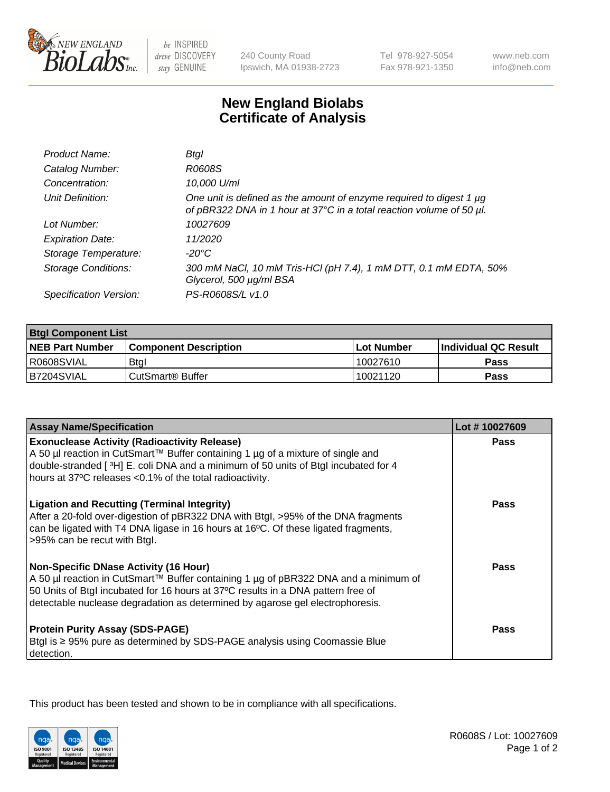

be INSPIRED drive DISCOVERY stay GENUINE

240 County Road Ipswich, MA 01938-2723 Tel 978-927-5054 Fax 978-921-1350

www.neb.com info@neb.com

## **New England Biolabs Certificate of Analysis**

| Product Name:              | Btal                                                                                                                                             |
|----------------------------|--------------------------------------------------------------------------------------------------------------------------------------------------|
| Catalog Number:            | R0608S                                                                                                                                           |
| Concentration:             | 10,000 U/ml                                                                                                                                      |
| Unit Definition:           | One unit is defined as the amount of enzyme required to digest 1 $\mu$ g<br>of pBR322 DNA in 1 hour at 37°C in a total reaction volume of 50 µl. |
| Lot Number:                | 10027609                                                                                                                                         |
| <b>Expiration Date:</b>    | 11/2020                                                                                                                                          |
| Storage Temperature:       | -20°C                                                                                                                                            |
| <b>Storage Conditions:</b> | 300 mM NaCl, 10 mM Tris-HCl (pH 7.4), 1 mM DTT, 0.1 mM EDTA, 50%<br>Glycerol, 500 µg/ml BSA                                                      |
| Specification Version:     | PS-R0608S/L v1.0                                                                                                                                 |

| <b>Btgl Component List</b> |                              |             |                             |  |
|----------------------------|------------------------------|-------------|-----------------------------|--|
| <b>NEB Part Number</b>     | <b>Component Description</b> | ⊺Lot Number | <b>Individual QC Result</b> |  |
| R0608SVIAL                 | <b>Btgl</b>                  | 10027610    | Pass                        |  |
| B7204SVIAL                 | CutSmart <sup>®</sup> Buffer | 10021120    | Pass                        |  |

| <b>Assay Name/Specification</b>                                                                                                                                         | Lot #10027609 |
|-------------------------------------------------------------------------------------------------------------------------------------------------------------------------|---------------|
| <b>Exonuclease Activity (Radioactivity Release)</b>                                                                                                                     | <b>Pass</b>   |
| A 50 µl reaction in CutSmart™ Buffer containing 1 µg of a mixture of single and<br>double-stranded [3H] E. coli DNA and a minimum of 50 units of Btgl incubated for 4   |               |
| hours at 37°C releases <0.1% of the total radioactivity.                                                                                                                |               |
| <b>Ligation and Recutting (Terminal Integrity)</b>                                                                                                                      | Pass          |
| After a 20-fold over-digestion of pBR322 DNA with Btgl, >95% of the DNA fragments<br>can be ligated with T4 DNA ligase in 16 hours at 16°C. Of these ligated fragments, |               |
| >95% can be recut with Btgl.                                                                                                                                            |               |
| <b>Non-Specific DNase Activity (16 Hour)</b>                                                                                                                            | <b>Pass</b>   |
| A 50 µl reaction in CutSmart™ Buffer containing 1 µg of pBR322 DNA and a minimum of<br>50 Units of Btgl incubated for 16 hours at 37°C results in a DNA pattern free of |               |
| detectable nuclease degradation as determined by agarose gel electrophoresis.                                                                                           |               |
|                                                                                                                                                                         |               |
| <b>Protein Purity Assay (SDS-PAGE)</b>                                                                                                                                  | <b>Pass</b>   |
| Btgl is ≥ 95% pure as determined by SDS-PAGE analysis using Coomassie Blue<br>detection.                                                                                |               |

This product has been tested and shown to be in compliance with all specifications.